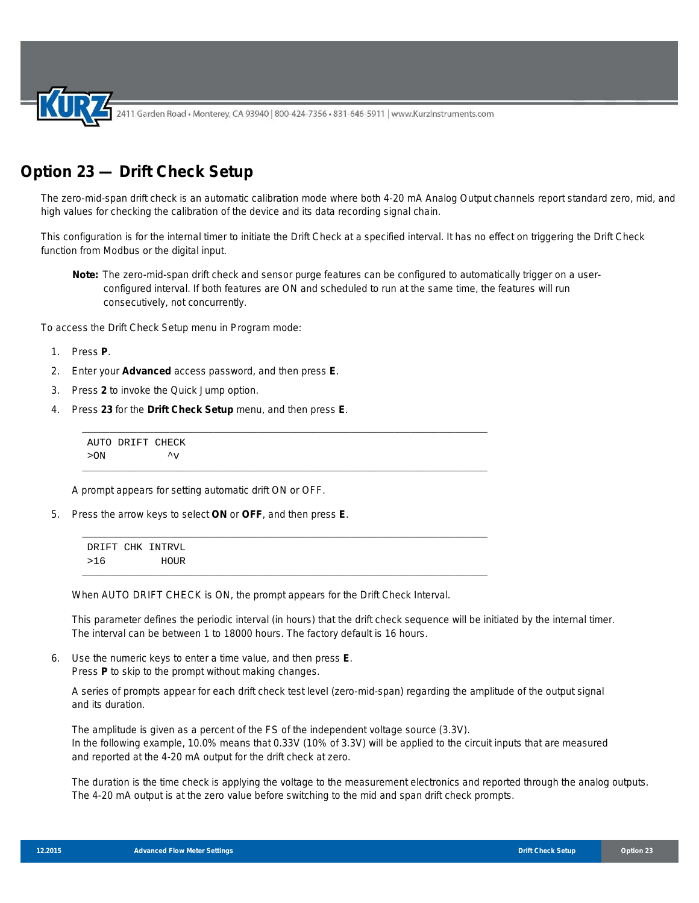2411 Garden Road • Monterey, CA 93940 | 800-424-7356 • 831-646-5911 | www.KurzInstruments.com

## **Option 23 — Drift Check Setup**

The zero-mid-span drift check is an automatic calibration mode where both 4-20 mA Analog Output channels report standard zero, mid, and high values for checking the calibration of the device and its data recording signal chain.

This configuration is for the internal timer to initiate the Drift Check at a specified interval. It has no effect on triggering the Drift Check function from Modbus or the digital input.

**Note:** The zero-mid-span drift check and sensor purge features can be configured to automatically trigger on a userconfigured interval. If both features are ON and scheduled to run at the same time, the features will run consecutively, not concurrently.

To access the Drift Check Setup menu in Program mode:

- 1. Press **P**.
- 2. Enter your **Advanced** access password, and then press **E**.
- 3. Press **2** to invoke the Quick Jump option.
- 4. Press **23** for the **Drift Check Setup** menu, and then press **E**.

AUTO DRIFT CHECK  $>0N$   $\sim$   $\sqrt{v}$ 

A prompt appears for setting automatic drift ON or OFF.

5. Press the arrow keys to select **ON** or **OFF**, and then press **E**.

DRIFT CHK INTRVL >16 HOUR

When AUTO DRIFT CHECK is ON, the prompt appears for the Drift Check Interval.

\_\_\_\_\_\_\_\_\_\_\_\_\_\_\_\_\_\_\_\_\_\_\_\_\_\_\_\_\_\_\_\_\_\_\_\_\_\_\_\_\_\_\_\_\_\_\_\_\_\_\_\_\_\_\_\_\_\_\_\_\_\_\_\_\_\_\_\_\_\_\_\_\_\_

\_\_\_\_\_\_\_\_\_\_\_\_\_\_\_\_\_\_\_\_\_\_\_\_\_\_\_\_\_\_\_\_\_\_\_\_\_\_\_\_\_\_\_\_\_\_\_\_\_\_\_\_\_\_\_\_\_\_\_\_\_\_\_\_\_\_\_\_\_\_\_\_\_\_

\_\_\_\_\_\_\_\_\_\_\_\_\_\_\_\_\_\_\_\_\_\_\_\_\_\_\_\_\_\_\_\_\_\_\_\_\_\_\_\_\_\_\_\_\_\_\_\_\_\_\_\_\_\_\_\_\_\_\_\_\_\_\_\_\_\_\_\_\_\_\_\_\_\_

\_\_\_\_\_\_\_\_\_\_\_\_\_\_\_\_\_\_\_\_\_\_\_\_\_\_\_\_\_\_\_\_\_\_\_\_\_\_\_\_\_\_\_\_\_\_\_\_\_\_\_\_\_\_\_\_\_\_\_\_\_\_\_\_\_\_\_\_\_\_\_\_\_\_

This parameter defines the periodic interval (in hours) that the drift check sequence will be initiated by the internal timer. The interval can be between 1 to 18000 hours. The factory default is 16 hours.

6. Use the numeric keys to enter a time value, and then press **E**. Press **P** to skip to the prompt without making changes.

A series of prompts appear for each drift check test level (zero-mid-span) regarding the amplitude of the output signal and its duration.

The amplitude is given as a percent of the FS of the independent voltage source (3.3V). In the following example, 10.0% means that 0.33V (10% of 3.3V) will be applied to the circuit inputs that are measured and reported at the 4-20 mA output for the drift check at zero.

The duration is the time check is applying the voltage to the measurement electronics and reported through the analog outputs. The 4-20 mA output is at the zero value before switching to the mid and span drift check prompts.